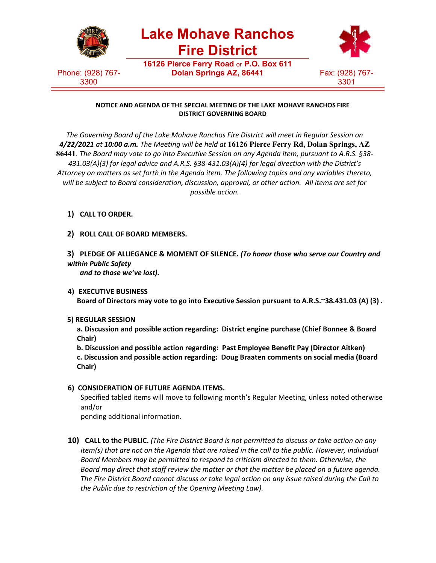

## **NOTICE AND AGENDA OF THE SPECIAL MEETING OF THE LAKE MOHAVE RANCHOS FIRE DISTRICT GOVERNING BOARD**

*The Governing Board of the Lake Mohave Ranchos Fire District will meet in Regular Session on 4/22/2021 at 10:00 a.m. The Meeting will be held at* **16126 Pierce Ferry Rd, Dolan Springs, AZ 86441**. *The Board may vote to go into Executive Session on any Agenda item, pursuant to A.R.S. §38- 431.03(A)(3) for legal advice and A.R.S. §38-431.03(A)(4) for legal direction with the District's Attorney on matters as set forth in the Agenda item. The following topics and any variables thereto, will be subject to Board consideration, discussion, approval, or other action. All items are set for possible action.*

- **1) CALL TO ORDER.**
- **2) ROLL CALL OF BOARD MEMBERS.**
- **3) PLEDGE OF ALLIEGANCE & MOMENT OF SILENCE.** *(To honor those who serve our Country and within Public Safety*

*and to those we've lost).*

**4) EXECUTIVE BUSINESS**

**Board of Directors may vote to go into Executive Session pursuant to A.R.S.~38.431.03 (A) (3) .**

## **5) REGULAR SESSION**

**a. Discussion and possible action regarding: District engine purchase (Chief Bonnee & Board Chair)**

**b. Discussion and possible action regarding: Past Employee Benefit Pay (Director Aitken) c. Discussion and possible action regarding: Doug Braaten comments on social media (Board Chair)**

## **6) CONSIDERATION OF FUTURE AGENDA ITEMS.**

Specified tabled items will move to following month's Regular Meeting, unless noted otherwise and/or

pending additional information.

**10) CALL to the PUBLIC.** *(The Fire District Board is not permitted to discuss or take action on any item(s) that are not on the Agenda that are raised in the call to the public. However, individual Board Members may be permitted to respond to criticism directed to them. Otherwise, the Board may direct that staff review the matter or that the matter be placed on a future agenda. The Fire District Board cannot discuss or take legal action on any issue raised during the Call to the Public due to restriction of the Opening Meeting Law).*